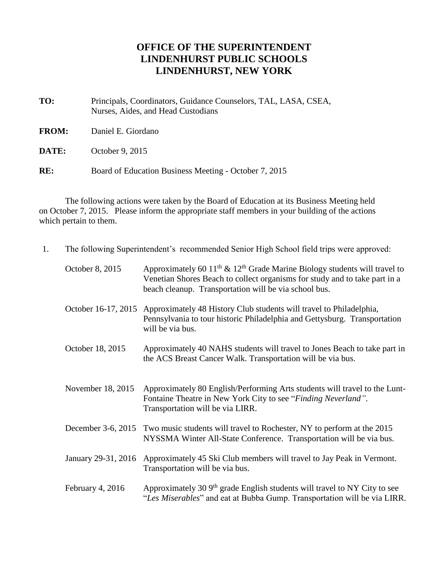## **OFFICE OF THE SUPERINTENDENT LINDENHURST PUBLIC SCHOOLS LINDENHURST, NEW YORK**

- **TO:** Principals, Coordinators, Guidance Counselors, TAL, LASA, CSEA, Nurses, Aides, and Head Custodians
- **FROM:** Daniel E. Giordano
- **DATE:** October 9, 2015
- **RE:** Board of Education Business Meeting October 7, 2015

The following actions were taken by the Board of Education at its Business Meeting held on October 7, 2015. Please inform the appropriate staff members in your building of the actions which pertain to them.

| 1. | The following Superintendent's recommended Senior High School field trips were approved: |                                                                                                                                                                                                                            |
|----|------------------------------------------------------------------------------------------|----------------------------------------------------------------------------------------------------------------------------------------------------------------------------------------------------------------------------|
|    | October 8, 2015                                                                          | Approximately 60 $11^{th}$ & $12^{th}$ Grade Marine Biology students will travel to<br>Venetian Shores Beach to collect organisms for study and to take part in a<br>beach cleanup. Transportation will be via school bus. |
|    | October 16-17, 2015                                                                      | Approximately 48 History Club students will travel to Philadelphia,<br>Pennsylvania to tour historic Philadelphia and Gettysburg. Transportation<br>will be via bus.                                                       |
|    | October 18, 2015                                                                         | Approximately 40 NAHS students will travel to Jones Beach to take part in<br>the ACS Breast Cancer Walk. Transportation will be via bus.                                                                                   |
|    | November 18, 2015                                                                        | Approximately 80 English/Performing Arts students will travel to the Lunt-<br>Fontaine Theatre in New York City to see "Finding Neverland".<br>Transportation will be via LIRR.                                            |
|    | December 3-6, 2015                                                                       | Two music students will travel to Rochester, NY to perform at the 2015<br>NYSSMA Winter All-State Conference. Transportation will be via bus.                                                                              |
|    | January 29-31, 2016                                                                      | Approximately 45 Ski Club members will travel to Jay Peak in Vermont.<br>Transportation will be via bus.                                                                                                                   |
|    | February 4, 2016                                                                         | Approximately 30 $9th$ grade English students will travel to NY City to see<br>"Les Miserables" and eat at Bubba Gump. Transportation will be via LIRR.                                                                    |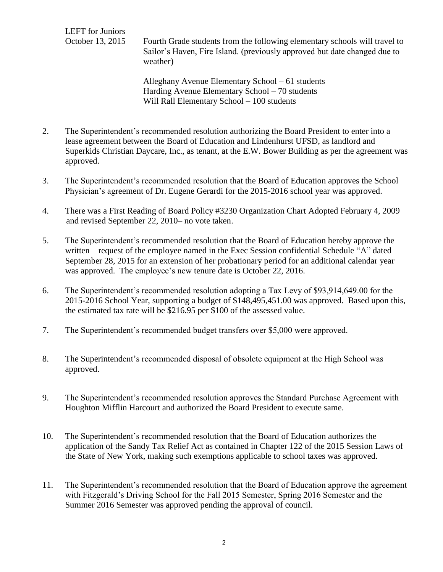LEFT for Juniors

October 13, 2015 Fourth Grade students from the following elementary schools will travel to Sailor's Haven, Fire Island. (previously approved but date changed due to weather)

> Alleghany Avenue Elementary School – 61 students Harding Avenue Elementary School – 70 students Will Rall Elementary School – 100 students

- 2. The Superintendent's recommended resolution authorizing the Board President to enter into a lease agreement between the Board of Education and Lindenhurst UFSD, as landlord and Superkids Christian Daycare, Inc., as tenant, at the E.W. Bower Building as per the agreement was approved.
- 3. The Superintendent's recommended resolution that the Board of Education approves the School Physician's agreement of Dr. Eugene Gerardi for the 2015-2016 school year was approved.
- 4. There was a First Reading of Board Policy #3230 Organization Chart Adopted February 4, 2009 and revised September 22, 2010– no vote taken.
- 5. The Superintendent's recommended resolution that the Board of Education hereby approve the written request of the employee named in the Exec Session confidential Schedule "A" dated September 28, 2015 for an extension of her probationary period for an additional calendar year was approved. The employee's new tenure date is October 22, 2016.
- 6. The Superintendent's recommended resolution adopting a Tax Levy of \$93,914,649.00 for the 2015-2016 School Year, supporting a budget of \$148,495,451.00 was approved. Based upon this, the estimated tax rate will be \$216.95 per \$100 of the assessed value.
- 7. The Superintendent's recommended budget transfers over \$5,000 were approved.
- 8. The Superintendent's recommended disposal of obsolete equipment at the High School was approved.
- 9. The Superintendent's recommended resolution approves the Standard Purchase Agreement with Houghton Mifflin Harcourt and authorized the Board President to execute same.
- 10. The Superintendent's recommended resolution that the Board of Education authorizes the application of the Sandy Tax Relief Act as contained in Chapter 122 of the 2015 Session Laws of the State of New York, making such exemptions applicable to school taxes was approved.
- 11. The Superintendent's recommended resolution that the Board of Education approve the agreement with Fitzgerald's Driving School for the Fall 2015 Semester, Spring 2016 Semester and the Summer 2016 Semester was approved pending the approval of council.